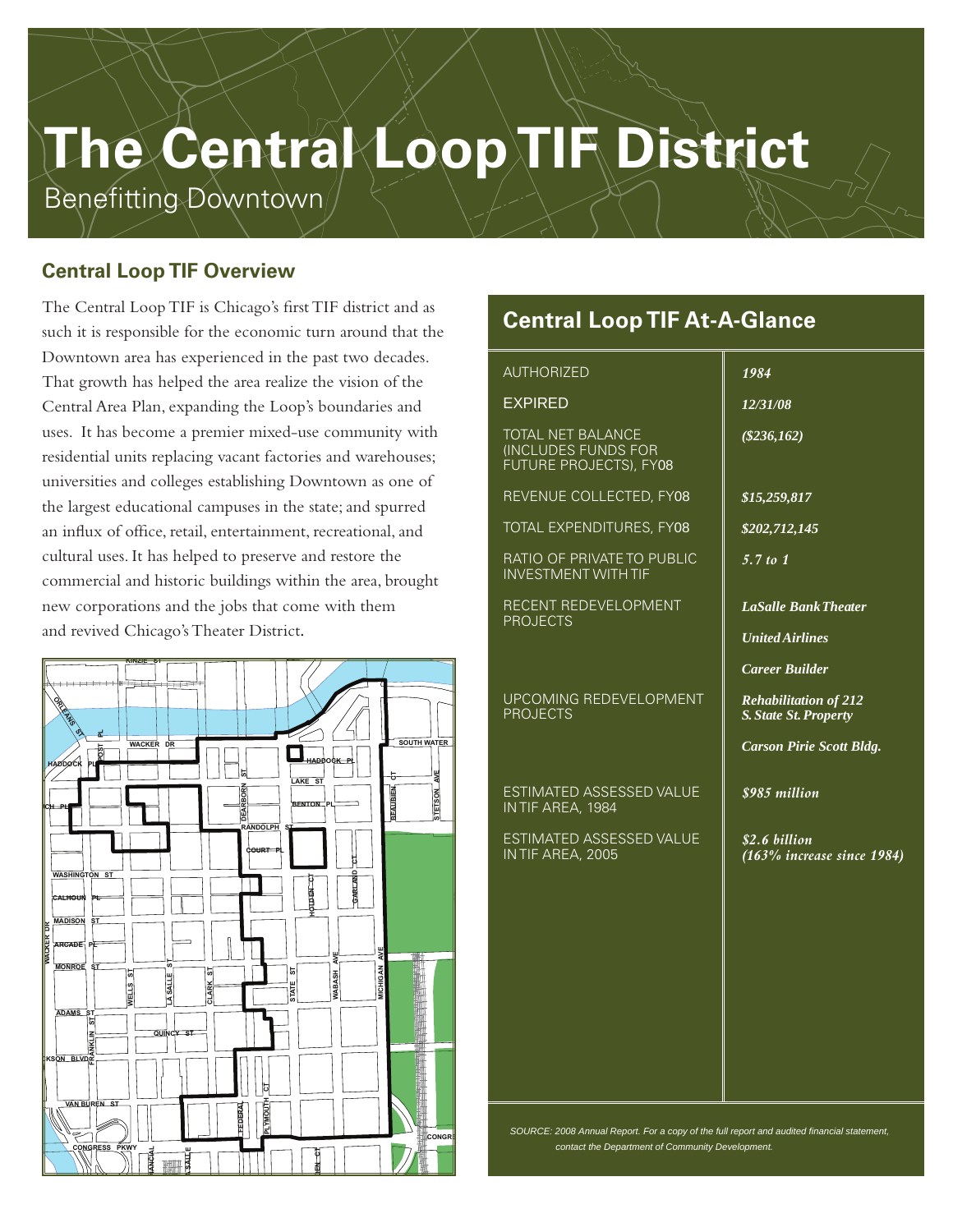# **The Central Loop TIF District**

Benefitting Downtown

## **Central Loop TIF Overview**

The Central Loop TIF is Chicago's first TIF district and as such it is responsible for the economic turn around that the Downtown area has experienced in the past two decades. That growth has helped the area realize the vision of the Central Area Plan, expanding the Loop's boundaries and uses. It has become a premier mixed-use community with residential units replacing vacant factories and warehouses; universities and colleges establishing Downtown as one of the largest educational campuses in the state; and spurred an influx of office, retail, entertainment, recreational, and cultural uses. It has helped to preserve and restore the commercial and historic buildings within the area, brought new corporations and the jobs that come with them and revived Chicago's Theater District.



# **Central LoopTIF At-A-Glance**

#### AUTHORIZED

#### EXPIRED

TOTAL NET BALANCE (INCLUDES FUNDS FOR FUTURE PROJECTS), FY08

REVENUE COLLECTED, FY08

TOTAL EXPENDITURES, FY08

RATIO OF PRIVATE TO PUBLIC INVESTMENT WITH TIF

RECENT REDEVELOPMENT PROJECTS

#### UPCOMING REDEVELOPMENT **Central Loop PROJECTS**

**ESTIMATED ASSESSED VALUE** IN TIF AREA, 1984 **FIELD BLVD**

**ESTIMATED ASSESSED VALUE** IN TIF AREA, 2005

**LAKE SHORE DR**

**MONROE DR**

#### *1984*

*12/31/08*

*(\$236,162)*

*\$15,259,817*

*\$202,712,145*

*5.7 to 1*

*LaSalle BankTheater*

*United Airlines* 

*Career Builder*

*Rehabilitation of 212 S.State St.Property*

*Carson Pirie Scott Bldg.*

*\$985 million*

*\$2.6 billion (163% increase since 1984)*

*SOURCE: 2008 Annual Report. For a copy of the full report and audited financial statement, contact the Department of Community Development.*